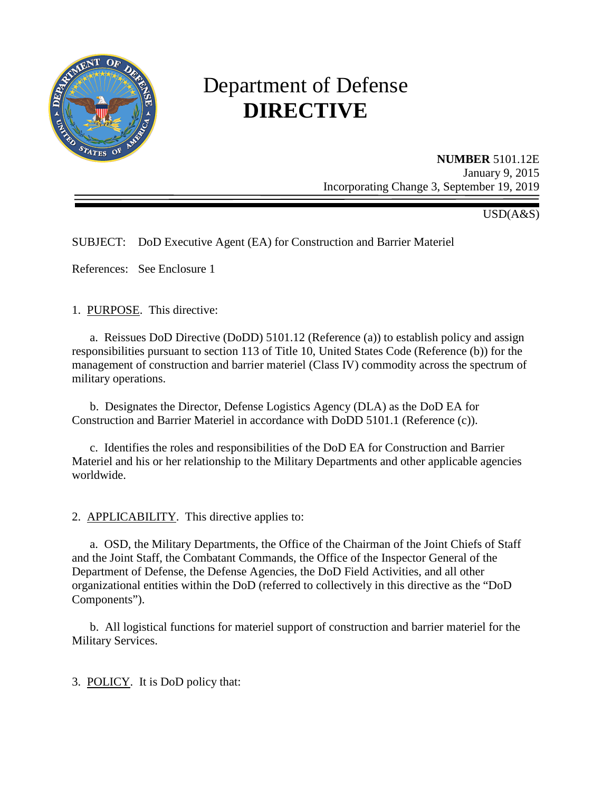

# Department of Defense **DIRECTIVE**

**NUMBER** 5101.12E January 9, 2015 Incorporating Change 3, September 19, 2019

USD(A&S)

SUBJECT: DoD Executive Agent (EA) for Construction and Barrier Materiel

References: See Enclosure 1

1. PURPOSE. This directive:

 a. Reissues DoD Directive (DoDD) 5101.12 (Reference (a)) to establish policy and assign responsibilities pursuant to section 113 of Title 10, United States Code (Reference (b)) for the management of construction and barrier materiel (Class IV) commodity across the spectrum of military operations.

 b. Designates the Director, Defense Logistics Agency (DLA) as the DoD EA for Construction and Barrier Materiel in accordance with DoDD 5101.1 (Reference (c)).

 c. Identifies the roles and responsibilities of the DoD EA for Construction and Barrier Materiel and his or her relationship to the Military Departments and other applicable agencies worldwide.

2. APPLICABILITY. This directive applies to:

a. OSD, the Military Departments, the Office of the Chairman of the Joint Chiefs of Staff and the Joint Staff, the Combatant Commands, the Office of the Inspector General of the Department of Defense, the Defense Agencies, the DoD Field Activities, and all other organizational entities within the DoD (referred to collectively in this directive as the "DoD Components").

 b. All logistical functions for materiel support of construction and barrier materiel for the Military Services.

3. POLICY. It is DoD policy that: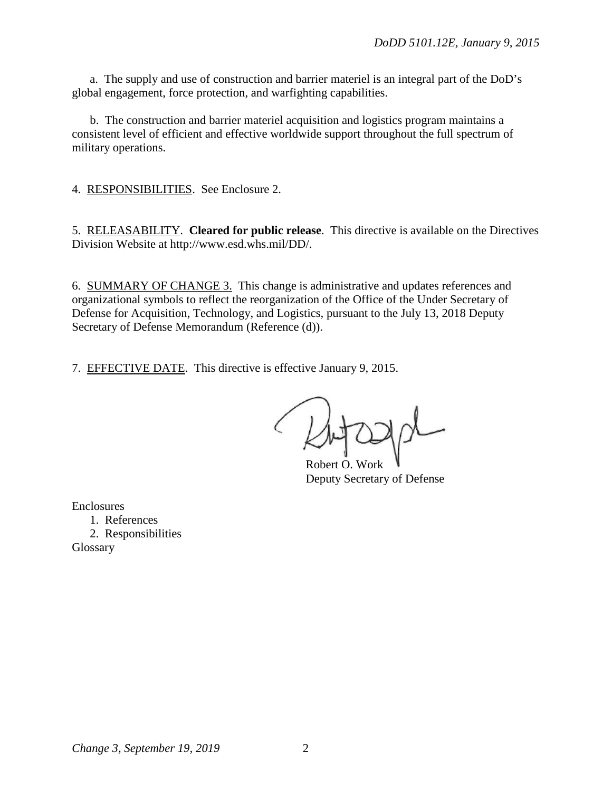a. The supply and use of construction and barrier materiel is an integral part of the DoD's global engagement, force protection, and warfighting capabilities.

 b. The construction and barrier materiel acquisition and logistics program maintains a consistent level of efficient and effective worldwide support throughout the full spectrum of military operations.

4. RESPONSIBILITIES. See Enclosure 2.

5. RELEASABILITY. **Cleared for public release**. This directive is available on the Directives Division Website at http://www.esd.whs.mil/DD/.

6. SUMMARY OF CHANGE 3. This change is administrative and updates references and organizational symbols to reflect the reorganization of the Office of the Under Secretary of Defense for Acquisition, Technology, and Logistics, pursuant to the July 13, 2018 Deputy Secretary of Defense Memorandum (Reference (d)).

7. EFFECTIVE DATE. This directive is effective January 9, 2015.

Robert O. Work Deputy Secretary of Defense

Enclosures

1. References 2. Responsibilities Glossary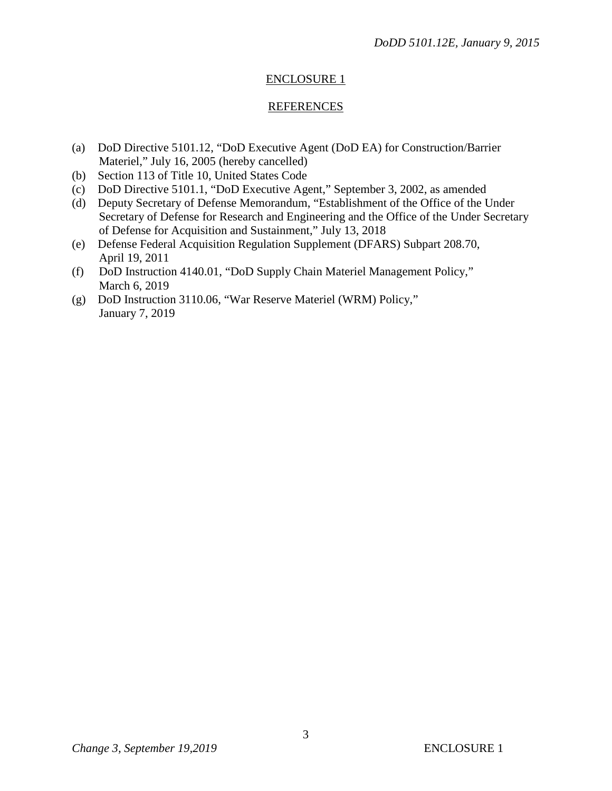# ENCLOSURE 1

#### REFERENCES

- (a) DoD Directive 5101.12, "DoD Executive Agent (DoD EA) for Construction/Barrier Materiel," July 16, 2005 (hereby cancelled)
- (b) Section 113 of Title 10, United States Code
- (c) DoD Directive 5101.1, "DoD Executive Agent," September 3, 2002, as amended
- (d) Deputy Secretary of Defense Memorandum, "Establishment of the Office of the Under Secretary of Defense for Research and Engineering and the Office of the Under Secretary of Defense for Acquisition and Sustainment," July 13, 2018
- (e) Defense Federal Acquisition Regulation Supplement (DFARS) Subpart 208.70, April 19, 2011
- (f) DoD Instruction 4140.01, "DoD Supply Chain Materiel Management Policy," March 6, 2019
- (g) DoD Instruction 3110.06, "War Reserve Materiel (WRM) Policy," January 7, 2019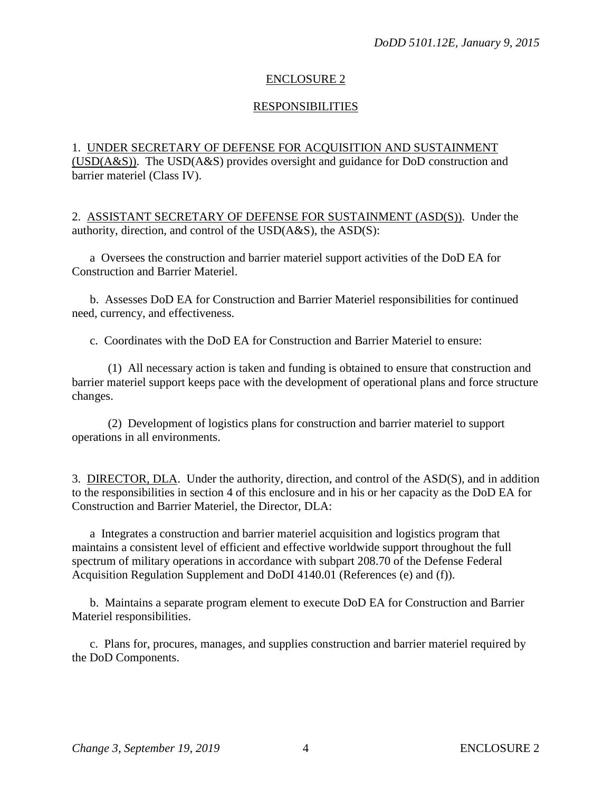## ENCLOSURE 2

#### **RESPONSIBILITIES**

# 1. UNDER SECRETARY OF DEFENSE FOR ACQUISITION AND SUSTAINMENT (USD(A&S)). The USD(A&S) provides oversight and guidance for DoD construction and barrier materiel (Class IV).

2. ASSISTANT SECRETARY OF DEFENSE FOR SUSTAINMENT (ASD(S)). Under the authority, direction, and control of the USD(A&S), the ASD(S):

 a Oversees the construction and barrier materiel support activities of the DoD EA for Construction and Barrier Materiel.

 b. Assesses DoD EA for Construction and Barrier Materiel responsibilities for continued need, currency, and effectiveness.

c. Coordinates with the DoD EA for Construction and Barrier Materiel to ensure:

 (1) All necessary action is taken and funding is obtained to ensure that construction and barrier materiel support keeps pace with the development of operational plans and force structure changes.

 (2) Development of logistics plans for construction and barrier materiel to support operations in all environments.

3. DIRECTOR, DLA. Under the authority, direction, and control of the ASD(S), and in addition to the responsibilities in section 4 of this enclosure and in his or her capacity as the DoD EA for Construction and Barrier Materiel, the Director, DLA:

a Integrates a construction and barrier materiel acquisition and logistics program that maintains a consistent level of efficient and effective worldwide support throughout the full spectrum of military operations in accordance with subpart 208.70 of the Defense Federal Acquisition Regulation Supplement and DoDI 4140.01 (References (e) and (f)).

 b. Maintains a separate program element to execute DoD EA for Construction and Barrier Materiel responsibilities.

 c. Plans for, procures, manages, and supplies construction and barrier materiel required by the DoD Components.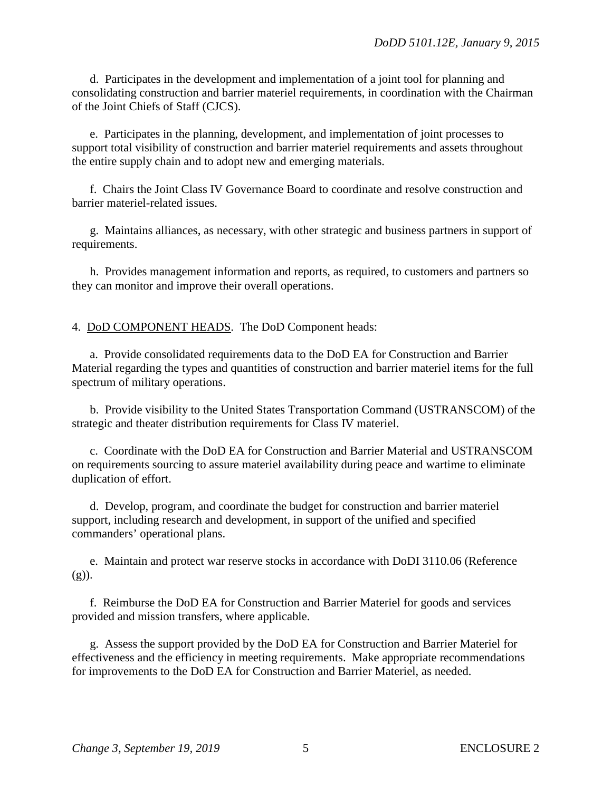d. Participates in the development and implementation of a joint tool for planning and consolidating construction and barrier materiel requirements, in coordination with the Chairman of the Joint Chiefs of Staff (CJCS).

 e. Participates in the planning, development, and implementation of joint processes to support total visibility of construction and barrier materiel requirements and assets throughout the entire supply chain and to adopt new and emerging materials.

f. Chairs the Joint Class IV Governance Board to coordinate and resolve construction and barrier materiel-related issues.

g. Maintains alliances, as necessary, with other strategic and business partners in support of requirements.

 h. Provides management information and reports, as required, to customers and partners so they can monitor and improve their overall operations.

4. DoD COMPONENT HEADS. The DoD Component heads:

a. Provide consolidated requirements data to the DoD EA for Construction and Barrier Material regarding the types and quantities of construction and barrier materiel items for the full spectrum of military operations.

 b. Provide visibility to the United States Transportation Command (USTRANSCOM) of the strategic and theater distribution requirements for Class IV materiel.

c. Coordinate with the DoD EA for Construction and Barrier Material and USTRANSCOM on requirements sourcing to assure materiel availability during peace and wartime to eliminate duplication of effort.

 d. Develop, program, and coordinate the budget for construction and barrier materiel support, including research and development, in support of the unified and specified commanders' operational plans.

e. Maintain and protect war reserve stocks in accordance with DoDI 3110.06 (Reference  $(g)$ ).

 f. Reimburse the DoD EA for Construction and Barrier Materiel for goods and services provided and mission transfers, where applicable.

g. Assess the support provided by the DoD EA for Construction and Barrier Materiel for effectiveness and the efficiency in meeting requirements. Make appropriate recommendations for improvements to the DoD EA for Construction and Barrier Materiel, as needed.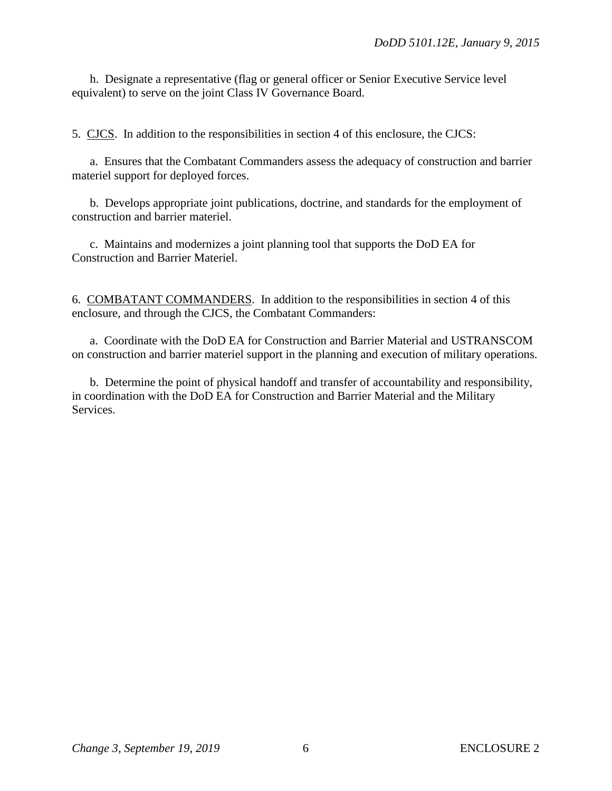h. Designate a representative (flag or general officer or Senior Executive Service level equivalent) to serve on the joint Class IV Governance Board.

5. CJCS. In addition to the responsibilities in section 4 of this enclosure, the CJCS:

 a. Ensures that the Combatant Commanders assess the adequacy of construction and barrier materiel support for deployed forces.

 b. Develops appropriate joint publications, doctrine, and standards for the employment of construction and barrier materiel.

 c. Maintains and modernizes a joint planning tool that supports the DoD EA for Construction and Barrier Materiel.

6. COMBATANT COMMANDERS. In addition to the responsibilities in section 4 of this enclosure, and through the CJCS, the Combatant Commanders:

a. Coordinate with the DoD EA for Construction and Barrier Material and USTRANSCOM on construction and barrier materiel support in the planning and execution of military operations.

 b. Determine the point of physical handoff and transfer of accountability and responsibility, in coordination with the DoD EA for Construction and Barrier Material and the Military **Services**